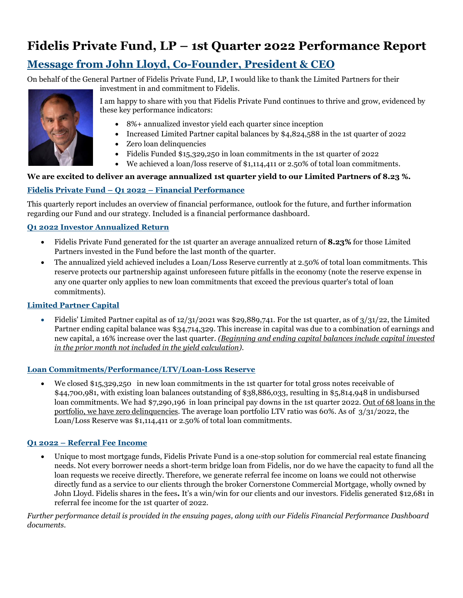# **Fidelis Private Fund, LP – 1st Quarter 2022 Performance Report**

# **Message from John Lloyd, Co-Founder, President & CEO**

On behalf of the General Partner of Fidelis Private Fund, LP, I would like to thank the Limited Partners for their investment in and commitment to Fidelis.



I am happy to share with you that Fidelis Private Fund continues to thrive and grow, evidenced by these key performance indicators:

- 8%+ annualized investor yield each quarter since inception
- Increased Limited Partner capital balances by \$4,824,588 in the 1st quarter of 2022
- Zero loan delinquencies
- Fidelis Funded \$15,329,250 in loan commitments in the 1st quarter of 2022
- We achieved a loan/loss reserve of \$1,114,411 or 2.50% of total loan commitments.

## **We are excited to deliver an average annualized 1st quarter yield to our Limited Partners of 8.23 %.**

## **Fidelis Private Fund – Q1 2022 – Financial Performance**

This quarterly report includes an overview of financial performance, outlook for the future, and further information regarding our Fund and our strategy. Included is a financial performance dashboard.

#### **Q1 2022 Investor Annualized Return**

- Fidelis Private Fund generated for the 1st quarter an average annualized return of **8.23%** for those Limited Partners invested in the Fund before the last month of the quarter.
- The annualized yield achieved includes a Loan/Loss Reserve currently at 2.50% of total loan commitments. This reserve protects our partnership against unforeseen future pitfalls in the economy (note the reserve expense in any one quarter only applies to new loan commitments that exceed the previous quarter's total of loan commitments).

#### **Limited Partner Capital**

Fidelis' Limited Partner capital as of  $12/31/2021$  was \$29,889,741. For the 1st quarter, as of  $3/31/22$ , the Limited Partner ending capital balance was \$34,714,329*.* This increase in capital was due to a combination of earnings and new capital, a 16% increase over the last quarter. *(Beginning and ending capital balances include capital invested in the prior month not included in the yield calculation).* 

#### **Loan Commitments/Performance/LTV/Loan-Loss Reserve**

 We closed \$15,329,250 in new loan commitments in the 1st quarter for total gross notes receivable of \$44,700,981, with existing loan balances outstanding of \$38,886,033, resulting in \$5,814,948 in undisbursed loan commitments. We had \$7,290,196 in loan principal pay downs in the 1st quarter 2022. Out of 68 loans in the portfolio, we have zero delinquencies. The average loan portfolio LTV ratio was 60%. As of 3/31/2022, the Loan/Loss Reserve was \$1,114,411 or 2.50% of total loan commitments.

#### **Q1 2022 – Referral Fee Income**

 Unique to most mortgage funds, Fidelis Private Fund is a one-stop solution for commercial real estate financing needs. Not every borrower needs a short-term bridge loan from Fidelis, nor do we have the capacity to fund all the loan requests we receive directly. Therefore, we generate referral fee income on loans we could not otherwise directly fund as a service to our clients through the broker Cornerstone Commercial Mortgage, wholly owned by John Lloyd. Fidelis shares in the fees**.** It's a win/win for our clients and our investors. Fidelis generated \$12,681 in referral fee income for the 1st quarter of 2022.

*Further performance detail is provided in the ensuing pages, along with our Fidelis Financial Performance Dashboard documents.*